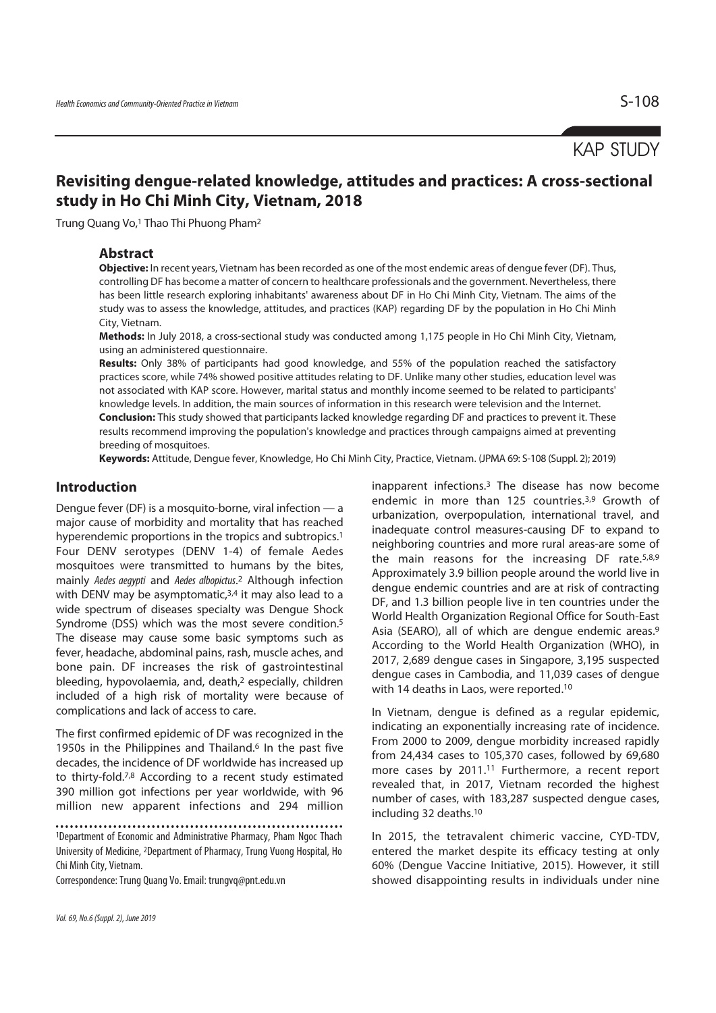# KAP STUDY

# **Revisiting dengue-related knowledge, attitudes and practices: A cross-sectional study in Ho Chi Minh City, Vietnam, 2018**

Trung Quang Vo,1 Thao Thi Phuong Pham2

### **Abstract**

**Objective:** In recent years, Vietnam has been recorded as one of the most endemic areas of dengue fever (DF). Thus, controlling DF has become a matter of concern to healthcare professionals and the government. Nevertheless, there has been little research exploring inhabitants' awareness about DF in Ho Chi Minh City, Vietnam. The aims of the study was to assess the knowledge, attitudes, and practices (KAP) regarding DF by the population in Ho Chi Minh City, Vietnam.

**Methods:** In July 2018, a cross-sectional study was conducted among 1,175 people in Ho Chi Minh City, Vietnam, using an administered questionnaire.

**Results:** Only 38% of participants had good knowledge, and 55% of the population reached the satisfactory practices score, while 74% showed positive attitudes relating to DF. Unlike many other studies, education level was not associated with KAP score. However, marital status and monthly income seemed to be related to participants' knowledge levels. In addition, the main sources of information in this research were television and the Internet. **Conclusion:** This study showed that participants lacked knowledge regarding DF and practices to prevent it. These results recommend improving the population's knowledge and practices through campaigns aimed at preventing breeding of mosquitoes.

**Keywords:** Attitude, Dengue fever, Knowledge, Ho Chi Minh City, Practice, Vietnam. (JPMA 69: S-108 (Suppl. 2); 2019)

### **Introduction**

Dengue fever (DF) is a mosquito-borne, viral infection — a major cause of morbidity and mortality that has reached hyperendemic proportions in the tropics and subtropics.<sup>1</sup> Four DENV serotypes (DENV 1-4) of female Aedes mosquitoes were transmitted to humans by the bites, mainly Aedes aegypti and Aedes albopictus.<sup>2</sup> Although infection with DENV may be asymptomatic, $3,4$  it may also lead to a wide spectrum of diseases specialty was Dengue Shock Syndrome (DSS) which was the most severe condition.<sup>5</sup> The disease may cause some basic symptoms such as fever, headache, abdominal pains, rash, muscle aches, and bone pain. DF increases the risk of gastrointestinal bleeding, hypovolaemia, and, death,2 especially, children included of a high risk of mortality were because of complications and lack of access to care.

The first confirmed epidemic of DF was recognized in the 1950s in the Philippines and Thailand.<sup>6</sup> In the past five decades, the incidence of DF worldwide has increased up to thirty-fold.7,8 According to a recent study estimated 390 million got infections per year worldwide, with 96 million new apparent infections and 294 million

Correspondence: Trung Quang Vo. Email: trungvq@pnt.edu.vn

inapparent infections.3 The disease has now become endemic in more than 125 countries.<sup>3,9</sup> Growth of urbanization, overpopulation, international travel, and inadequate control measures-causing DF to expand to neighboring countries and more rural areas-are some of the main reasons for the increasing DF rate.<sup>5,8,9</sup> Approximately 3.9 billion people around the world live in dengue endemic countries and are at risk of contracting DF, and 1.3 billion people live in ten countries under the World Health Organization Regional Office for South-East Asia (SEARO), all of which are dengue endemic areas.9 According to the World Health Organization (WHO), in 2017, 2,689 dengue cases in Singapore, 3,195 suspected dengue cases in Cambodia, and 11,039 cases of dengue with 14 deaths in Laos, were reported.10

In Vietnam, dengue is defined as a regular epidemic, indicating an exponentially increasing rate of incidence. From 2000 to 2009, dengue morbidity increased rapidly from 24,434 cases to 105,370 cases, followed by 69,680 more cases by 2011.<sup>11</sup> Furthermore, a recent report revealed that, in 2017, Vietnam recorded the highest number of cases, with 183,287 suspected dengue cases, including 32 deaths.10

In 2015, the tetravalent chimeric vaccine, CYD-TDV, entered the market despite its efficacy testing at only 60% (Dengue Vaccine Initiative, 2015). However, it still showed disappointing results in individuals under nine

<sup>1</sup>Department of Economic and Administrative Pharmacy, Pham Ngoc Thach University of Medicine, 2Department of Pharmacy, Trung Vuong Hospital, Ho Chi Minh City, Vietnam.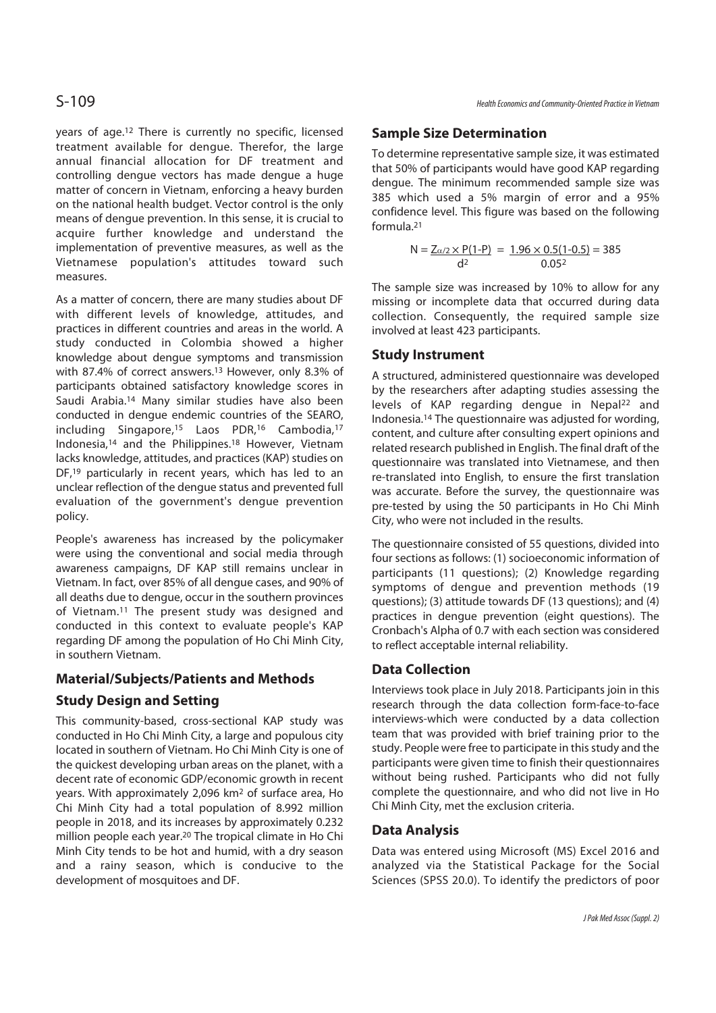years of age.12 There is currently no specific, licensed treatment available for dengue. Therefor, the large annual financial allocation for DF treatment and controlling dengue vectors has made dengue a huge matter of concern in Vietnam, enforcing a heavy burden on the national health budget. Vector control is the only means of dengue prevention. In this sense, it is crucial to acquire further knowledge and understand the implementation of preventive measures, as well as the Vietnamese population's attitudes toward such measures.

As a matter of concern, there are many studies about DF with different levels of knowledge, attitudes, and practices in different countries and areas in the world. A study conducted in Colombia showed a higher knowledge about dengue symptoms and transmission with 87.4% of correct answers.13 However, only 8.3% of participants obtained satisfactory knowledge scores in Saudi Arabia.14 Many similar studies have also been conducted in dengue endemic countries of the SEARO, including Singapore,15 Laos PDR,16 Cambodia,17 Indonesia,14 and the Philippines.18 However, Vietnam lacks knowledge, attitudes, and practices (KAP) studies on DF,<sup>19</sup> particularly in recent years, which has led to an unclear reflection of the dengue status and prevented full evaluation of the government's dengue prevention policy.

People's awareness has increased by the policymaker were using the conventional and social media through awareness campaigns, DF KAP still remains unclear in Vietnam. In fact, over 85% of all dengue cases, and 90% of all deaths due to dengue, occur in the southern provinces of Vietnam.11 The present study was designed and conducted in this context to evaluate people's KAP regarding DF among the population of Ho Chi Minh City, in southern Vietnam.

## **Material/Subjects/Patients and Methods**

## **Study Design and Setting**

This community-based, cross-sectional KAP study was conducted in Ho Chi Minh City, a large and populous city located in southern of Vietnam. Ho Chi Minh City is one of the quickest developing urban areas on the planet, with a decent rate of economic GDP/economic growth in recent years. With approximately 2,096 km2 of surface area, Ho Chi Minh City had a total population of 8.992 million people in 2018, and its increases by approximately 0.232 million people each year.20 The tropical climate in Ho Chi Minh City tends to be hot and humid, with a dry season and a rainy season, which is conducive to the development of mosquitoes and DF.

## **Sample Size Determination**

To determine representative sample size, it was estimated that 50% of participants would have good KAP regarding dengue. The minimum recommended sample size was 385 which used a 5% margin of error and a 95% confidence level. This figure was based on the following formula.21

$$
N = \frac{Z_{\alpha/2} \times P(1-P)}{d^2} = \frac{1.96 \times 0.5(1-0.5)}{0.05^2} = 385
$$

The sample size was increased by 10% to allow for any missing or incomplete data that occurred during data collection. Consequently, the required sample size involved at least 423 participants.

## **Study Instrument**

A structured, administered questionnaire was developed by the researchers after adapting studies assessing the levels of KAP regarding dengue in Nepal<sup>22</sup> and Indonesia.14 The questionnaire was adjusted for wording, content, and culture after consulting expert opinions and related research published in English. The final draft of the questionnaire was translated into Vietnamese, and then re-translated into English, to ensure the first translation was accurate. Before the survey, the questionnaire was pre-tested by using the 50 participants in Ho Chi Minh City, who were not included in the results.

The questionnaire consisted of 55 questions, divided into four sections as follows: (1) socioeconomic information of participants (11 questions); (2) Knowledge regarding symptoms of dengue and prevention methods (19 questions); (3) attitude towards DF (13 questions); and (4) practices in dengue prevention (eight questions). The Cronbach's Alpha of 0.7 with each section was considered to reflect acceptable internal reliability.

## **Data Collection**

Interviews took place in July 2018. Participants join in this research through the data collection form-face-to-face interviews-which were conducted by a data collection team that was provided with brief training prior to the study. People were free to participate in this study and the participants were given time to finish their questionnaires without being rushed. Participants who did not fully complete the questionnaire, and who did not live in Ho Chi Minh City, met the exclusion criteria.

## **Data Analysis**

Data was entered using Microsoft (MS) Excel 2016 and analyzed via the Statistical Package for the Social Sciences (SPSS 20.0). To identify the predictors of poor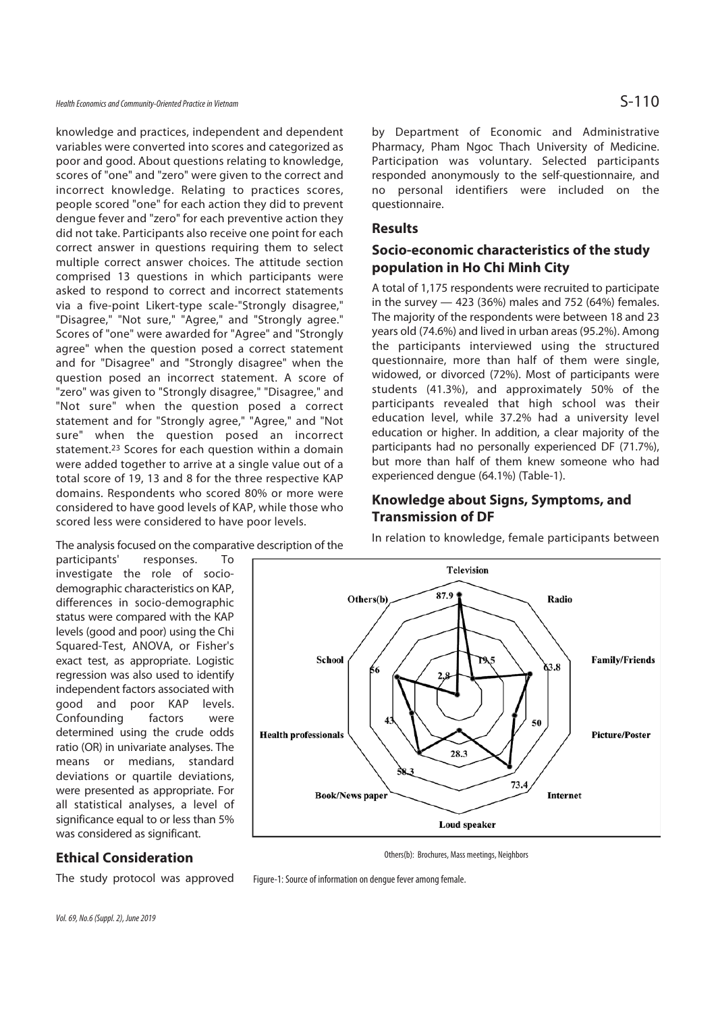Health Economics and Community-Oriented Practice in Vietnam  $\mathsf{S}\text{-}110$ 

knowledge and practices, independent and dependent variables were converted into scores and categorized as poor and good. About questions relating to knowledge, scores of "one" and "zero" were given to the correct and incorrect knowledge. Relating to practices scores, people scored "one" for each action they did to prevent dengue fever and "zero" for each preventive action they did not take. Participants also receive one point for each correct answer in questions requiring them to select multiple correct answer choices. The attitude section comprised 13 questions in which participants were asked to respond to correct and incorrect statements via a five-point Likert-type scale-"Strongly disagree," "Disagree," "Not sure," "Agree," and "Strongly agree." Scores of "one" were awarded for "Agree" and "Strongly agree" when the question posed a correct statement and for "Disagree" and "Strongly disagree" when the question posed an incorrect statement. A score of "zero" was given to "Strongly disagree," "Disagree," and "Not sure" when the question posed a correct statement and for "Strongly agree," "Agree," and "Not sure" when the question posed an incorrect statement.23 Scores for each question within a domain were added together to arrive at a single value out of a total score of 19, 13 and 8 for the three respective KAP domains. Respondents who scored 80% or more were considered to have good levels of KAP, while those who scored less were considered to have poor levels.

The analysis focused on the comparative description of the

participants' responses. To investigate the role of sociodemographic characteristics on KAP, differences in socio-demographic status were compared with the KAP levels (good and poor) using the Chi Squared-Test, ANOVA, or Fisher's exact test, as appropriate. Logistic regression was also used to identify independent factors associated with good and poor KAP levels. Confounding factors were determined using the crude odds ratio (OR) in univariate analyses. The means or medians, standard deviations or quartile deviations, were presented as appropriate. For all statistical analyses, a level of significance equal to or less than 5% was considered as significant.

The study protocol was approved

by Department of Economic and Administrative Pharmacy, Pham Ngoc Thach University of Medicine. Participation was voluntary. Selected participants responded anonymously to the self-questionnaire, and no personal identifiers were included on the questionnaire.

### **Results**

## **Socio-economic characteristics of the study population in Ho Chi Minh City**

A total of 1,175 respondents were recruited to participate in the survey — 423 (36%) males and 752 (64%) females. The majority of the respondents were between 18 and 23 years old (74.6%) and lived in urban areas (95.2%). Among the participants interviewed using the structured questionnaire, more than half of them were single, widowed, or divorced (72%). Most of participants were students (41.3%), and approximately 50% of the participants revealed that high school was their education level, while 37.2% had a university level education or higher. In addition, a clear majority of the participants had no personally experienced DF (71.7%), but more than half of them knew someone who had experienced dengue (64.1%) (Table-1).

## **Knowledge about Signs, Symptoms, and Transmission of DF**

In relation to knowledge, female participants between



Others(b): Brochures, Mass meetings, Neighbors

Figure-1: Source of information on dengue fever among female.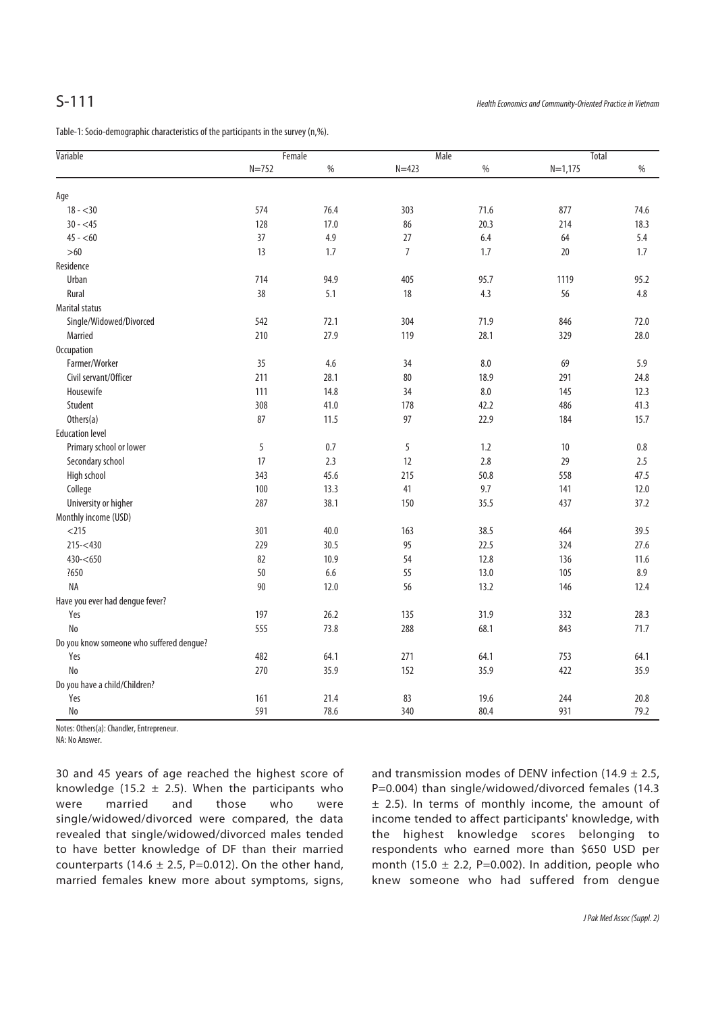Table-1: Socio-demographic characteristics of the participants in the survey (n,%).

| Variable                                 | Female    |      | Male           |         | <b>Total</b> |         |
|------------------------------------------|-----------|------|----------------|---------|--------------|---------|
|                                          | $N = 752$ | $\%$ | $N = 423$      | $\%$    | $N=1,175$    | $\%$    |
| Age                                      |           |      |                |         |              |         |
| $18 - 30$                                | 574       | 76.4 | 303            | 71.6    | 877          | 74.6    |
| $30 - 45$                                | 128       | 17.0 | 86             | 20.3    | 214          | 18.3    |
| $45 - 60$                                | 37        | 4.9  | 27             | 6.4     | 64           | 5.4     |
| $>60$                                    | 13        | 1.7  | $\overline{7}$ | 1.7     | 20           | 1.7     |
| Residence                                |           |      |                |         |              |         |
| Urban                                    | 714       | 94.9 | 405            | 95.7    | 1119         | 95.2    |
| Rural                                    | 38        | 5.1  | 18             | 4.3     | 56           | $4.8\,$ |
| <b>Marital status</b>                    |           |      |                |         |              |         |
| Single/Widowed/Divorced                  | 542       | 72.1 | 304            | 71.9    | 846          | 72.0    |
| Married                                  | 210       | 27.9 | 119            | 28.1    | 329          | 28.0    |
| Occupation                               |           |      |                |         |              |         |
| Farmer/Worker                            | 35        | 4.6  | 34             | 8.0     | 69           | 5.9     |
| Civil servant/Officer                    | 211       | 28.1 | 80             | 18.9    | 291          | 24.8    |
| Housewife                                | 111       | 14.8 | 34             | $8.0\,$ | 145          | 12.3    |
| Student                                  | 308       | 41.0 | 178            | 42.2    | 486          | 41.3    |
| Others(a)                                | 87        | 11.5 | 97             | 22.9    | 184          | 15.7    |
| <b>Education level</b>                   |           |      |                |         |              |         |
| Primary school or lower                  | 5         | 0.7  | 5              | 1.2     | 10           | $0.8\,$ |
| Secondary school                         | 17        | 2.3  | 12             | 2.8     | 29           | 2.5     |
| High school                              | 343       | 45.6 | 215            | 50.8    | 558          | 47.5    |
| College                                  | 100       | 13.3 | 41             | 9.7     | 141          | 12.0    |
| University or higher                     | 287       | 38.1 | 150            | 35.5    | 437          | 37.2    |
| Monthly income (USD)                     |           |      |                |         |              |         |
| $<$ 215                                  | 301       | 40.0 | 163            | 38.5    | 464          | 39.5    |
| $215 - 430$                              | 229       | 30.5 | 95             | 22.5    | 324          | 27.6    |
| $430 - 650$                              | 82        | 10.9 | 54             | 12.8    | 136          | 11.6    |
| ?650                                     | 50        | 6.6  | 55             | 13.0    | 105          | 8.9     |
| NA                                       | 90        | 12.0 | 56             | 13.2    | 146          | 12.4    |
| Have you ever had dengue fever?          |           |      |                |         |              |         |
| Yes                                      | 197       | 26.2 | 135            | 31.9    | 332          | 28.3    |
| No                                       | 555       | 73.8 | 288            | 68.1    | 843          | 71.7    |
| Do you know someone who suffered dengue? |           |      |                |         |              |         |
| Yes                                      | 482       | 64.1 | 271            | 64.1    | 753          | 64.1    |
| No                                       | 270       | 35.9 | 152            | 35.9    | 422          | 35.9    |
| Do you have a child/Children?            |           |      |                |         |              |         |
| Yes                                      | 161       | 21.4 | 83             | 19.6    | 244          | 20.8    |
| <b>No</b>                                | 591       | 78.6 | 340            | 80.4    | 931          | 79.2    |

Notes: Others(a): Chandler, Entrepreneur.

NA: No Answer.

30 and 45 years of age reached the highest score of knowledge (15.2  $\pm$  2.5). When the participants who were married and those who were single/widowed/divorced were compared, the data revealed that single/widowed/divorced males tended to have better knowledge of DF than their married counterparts (14.6  $\pm$  2.5, P=0.012). On the other hand, married females knew more about symptoms, signs,

and transmission modes of DENV infection (14.9  $\pm$  2.5, P=0.004) than single/widowed/divorced females (14.3  $±$  2.5). In terms of monthly income, the amount of income tended to affect participants' knowledge, with the highest knowledge scores belonging to respondents who earned more than \$650 USD per month (15.0  $\pm$  2.2, P=0.002). In addition, people who knew someone who had suffered from dengue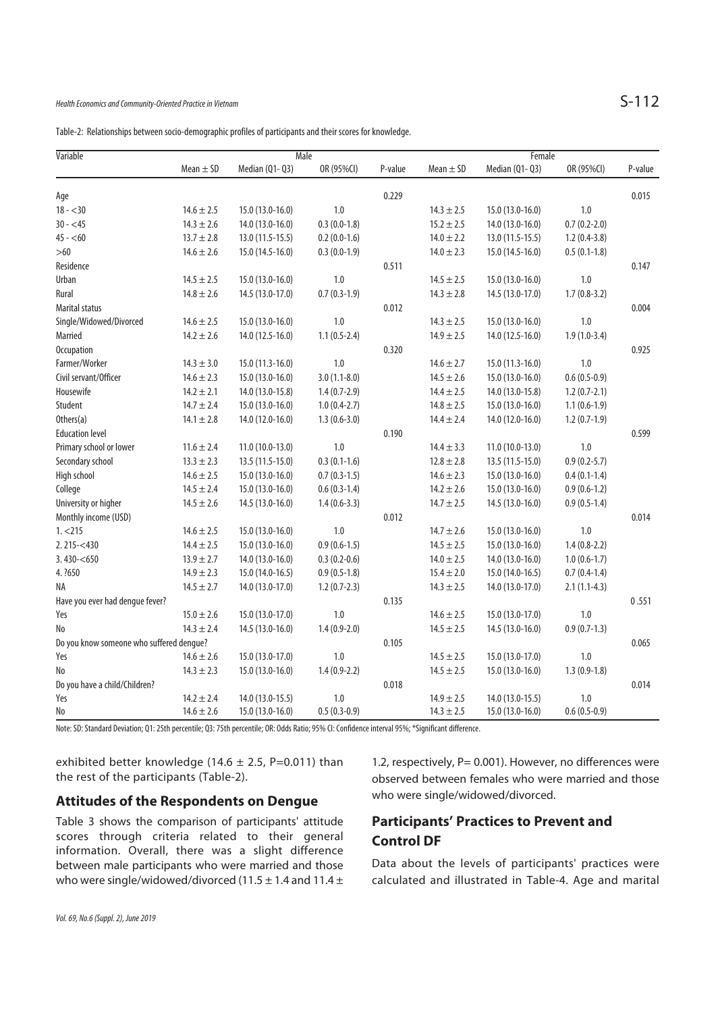|  | Table-2: Relationships between socio-demographic profiles of participants and their scores for knowledge. |  |
|--|-----------------------------------------------------------------------------------------------------------|--|
|  |                                                                                                           |  |

| Variable                                 |                | Male              |                |         |                | Female            |                  |         |  |
|------------------------------------------|----------------|-------------------|----------------|---------|----------------|-------------------|------------------|---------|--|
|                                          | Mean $\pm$ SD  | Median (Q1-Q3)    | OR (95%CI)     | P-value | Mean $\pm$ SD  | Median (Q1- Q3)   | OR (95%CI)       | P-value |  |
| Age                                      |                |                   |                | 0.229   |                |                   |                  | 0.015   |  |
| $18 - 30$                                | $14.6 \pm 2.5$ | 15.0 (13.0-16.0)  | 1.0            |         | $14.3 \pm 2.5$ | 15.0 (13.0-16.0)  | 1.0              |         |  |
| $30 - 45$                                | $14.3 \pm 2.6$ | 14.0 (13.0-16.0)  | $0.3(0.0-1.8)$ |         | $15.2 \pm 2.5$ | 14.0 (13.0-16.0)  | $0.7(0.2 - 2.0)$ |         |  |
| $45 - 60$                                | $13.7 \pm 2.8$ | 13.0 (11.5-15.5)  | $0.2(0.0-1.6)$ |         | $14.0 \pm 2.2$ | $13.0(11.5-15.5)$ | $1.2(0.4-3.8)$   |         |  |
| $>60$                                    | $14.6 \pm 2.6$ | 15.0 (14.5-16.0)  | $0.3(0.0-1.9)$ |         | $14.0 \pm 2.3$ | 15.0 (14.5-16.0)  | $0.5(0.1-1.8)$   |         |  |
| Residence                                |                |                   |                | 0.511   |                |                   |                  | 0.147   |  |
| Urban                                    | $14.5 \pm 2.5$ | 15.0 (13.0-16.0)  | 1.0            |         | $14.5 \pm 2.5$ | 15.0 (13.0-16.0)  | 1.0              |         |  |
| Rural                                    | $14.8 \pm 2.6$ | 14.5 (13.0-17.0)  | $0.7(0.3-1.9)$ |         | $14.3 \pm 2.8$ | 14.5 (13.0-17.0)  | $1.7(0.8-3.2)$   |         |  |
| <b>Marital status</b>                    |                |                   |                | 0.012   |                |                   |                  | 0.004   |  |
| Single/Widowed/Divorced                  | $14.6 \pm 2.5$ | 15.0 (13.0-16.0)  | 1.0            |         | $14.3 \pm 2.5$ | 15.0 (13.0-16.0)  | 1.0              |         |  |
| Married                                  | $14.2 \pm 2.6$ | 14.0 (12.5-16.0)  | $1.1(0.5-2.4)$ |         | $14.9 \pm 2.5$ | 14.0 (12.5-16.0)  | $1.9(1.0-3.4)$   |         |  |
| <b>Occupation</b>                        |                |                   |                | 0.320   |                |                   |                  | 0.925   |  |
| Farmer/Worker                            | $14.3 \pm 3.0$ | 15.0 (11.3-16.0)  | 1.0            |         | $14.6 \pm 2.7$ | 15.0 (11.3-16.0)  | 1.0              |         |  |
| Civil servant/Officer                    | $14.6 \pm 2.3$ | 15.0 (13.0-16.0)  | $3.0(1.1-8.0)$ |         | $14.5 \pm 2.6$ | 15.0 (13.0-16.0)  | $0.6(0.5-0.9)$   |         |  |
| Housewife                                | $14.2 \pm 2.1$ | 14.0 (13.0-15.8)  | $1.4(0.7-2.9)$ |         | $14.4 \pm 2.5$ | 14.0 (13.0-15.8)  | $1.2(0.7-2.1)$   |         |  |
| Student                                  | $14.7 \pm 2.4$ | 15.0 (13.0-16.0)  | $1.0(0.4-2.7)$ |         | $14.8 \pm 2.5$ | 15.0 (13.0-16.0)  | $1.1(0.6-1.9)$   |         |  |
| Others(a)                                | $14.1 \pm 2.8$ | 14.0 (12.0-16.0)  | $1.3(0.6-3.0)$ |         | $14.4 \pm 2.4$ | 14.0 (12.0-16.0)  | $1.2(0.7-1.9)$   |         |  |
| <b>Education level</b>                   |                |                   |                | 0.190   |                |                   |                  | 0.599   |  |
| Primary school or lower                  | $11.6 \pm 2.4$ | $11.0(10.0-13.0)$ | 1.0            |         | $14.4 \pm 3.3$ | $11.0(10.0-13.0)$ | 1.0              |         |  |
| Secondary school                         | $13.3 \pm 2.3$ | 13.5 (11.5-15.0)  | $0.3(0.1-1.6)$ |         | $12.8 \pm 2.8$ | 13.5 (11.5-15.0)  | $0.9(0.2 - 5.7)$ |         |  |
| High school                              | $14.6 \pm 2.5$ | 15.0 (13.0-16.0)  | $0.7(0.3-1.5)$ |         | $14.6 \pm 2.3$ | 15.0 (13.0-16.0)  | $0.4(0.1-1.4)$   |         |  |
| College                                  | $14.5 \pm 2.4$ | 15.0 (13.0-16.0)  | $0.6(0.3-1.4)$ |         | $14.2 \pm 2.6$ | 15.0 (13.0-16.0)  | $0.9(0.6-1.2)$   |         |  |
| University or higher                     | $14.5 \pm 2.6$ | 14.5 (13.0-16.0)  | $1.4(0.6-3.3)$ |         | $14.7 \pm 2.5$ | 14.5 (13.0-16.0)  | $0.9(0.5-1.4)$   |         |  |
| Monthly income (USD)                     |                |                   |                | 0.012   |                |                   |                  | 0.014   |  |
| 1. < 215                                 | $14.6 \pm 2.5$ | 15.0 (13.0-16.0)  | 1.0            |         | $14.7 \pm 2.6$ | 15.0 (13.0-16.0)  | 1.0              |         |  |
| $2.215 - 430$                            | $14.4 \pm 2.5$ | 15.0 (13.0-16.0)  | $0.9(0.6-1.5)$ |         | $14.5 \pm 2.5$ | 15.0 (13.0-16.0)  | $1.4(0.8-2.2)$   |         |  |
| 3.430 < 650                              | $13.9 \pm 2.7$ | 14.0 (13.0-16.0)  | $0.3(0.2-0.6)$ |         | $14.0 \pm 2.5$ | 14.0 (13.0-16.0)  | $1.0(0.6-1.7)$   |         |  |
| 4. ?650                                  | $14.9 \pm 2.3$ | 15.0 (14.0-16.5)  | $0.9(0.5-1.8)$ |         | $15.4 \pm 2.0$ | 15.0 (14.0-16.5)  | $0.7(0.4-1.4)$   |         |  |
| ΝA                                       | $14.5 \pm 2.7$ | 14.0 (13.0-17.0)  | $1.2(0.7-2.3)$ |         | $14.3 \pm 2.5$ | 14.0 (13.0-17.0)  | $2.1(1.1-4.3)$   |         |  |
| Have you ever had dengue fever?          |                |                   |                | 0.135   |                |                   |                  | 0.551   |  |
| Yes                                      | $15.0 \pm 2.6$ | 15.0 (13.0-17.0)  | $1.0\,$        |         | $14.6 \pm 2.5$ | 15.0 (13.0-17.0)  | 1.0              |         |  |
| No                                       | $14.3 \pm 2.4$ | 14.5 (13.0-16.0)  | $1.4(0.9-2.0)$ |         | $14.5 \pm 2.5$ | 14.5 (13.0-16.0)  | $0.9(0.7-1.3)$   |         |  |
| Do you know someone who suffered dengue? |                |                   |                | 0.105   |                |                   |                  | 0.065   |  |
| Yes                                      | $14.6 \pm 2.6$ | 15.0 (13.0-17.0)  | 1.0            |         | $14.5 \pm 2.5$ | 15.0 (13.0-17.0)  | 1.0              |         |  |
| No                                       | $14.3 \pm 2.3$ | 15.0 (13.0-16.0)  | $1.4(0.9-2.2)$ |         | $14.5 \pm 2.5$ | 15.0 (13.0-16.0)  | $1.3(0.9-1.8)$   |         |  |
| Do you have a child/Children?            |                |                   |                | 0.018   |                |                   |                  | 0.014   |  |
| Yes                                      | $14.2 \pm 2.4$ | 14.0 (13.0-15.5)  | 1.0            |         | $14.9 \pm 2.5$ | 14.0 (13.0-15.5)  | 1.0              |         |  |
| No                                       | $14.6 \pm 2.6$ | 15.0 (13.0-16.0)  | $0.5(0.3-0.9)$ |         | $14.3 \pm 2.5$ | 15.0 (13.0-16.0)  | $0.6(0.5-0.9)$   |         |  |

Note: SD: Standard Deviation; Q1: 25th percentile; Q3: 75th percentile; OR: Odds Ratio; 95% CI: Confidence interval 95%; \*Significant difference.

exhibited better knowledge (14.6  $\pm$  2.5, P=0.011) than the rest of the participants (Table-2).

### **Attitudes of the Respondents on Dengue**

Table 3 shows the comparison of participants' attitude scores through criteria related to their general information. Overall, there was a slight difference between male participants who were married and those who were single/widowed/divorced (11.5  $\pm$  1.4 and 11.4  $\pm$ 

1.2, respectively, P= 0.001). However, no differences were observed between females who were married and those who were single/widowed/divorced.

## **Participants' Practices to Prevent and Control DF**

Data about the levels of participants' practices were calculated and illustrated in Table-4. Age and marital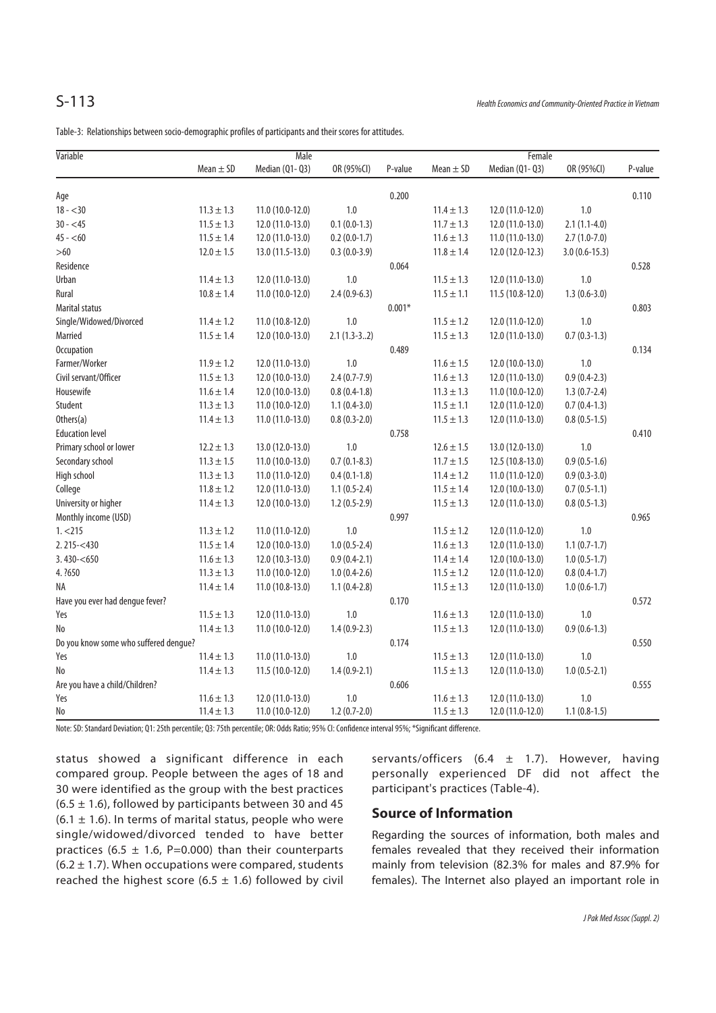Table-3: Relationships between socio-demographic profiles of participants and their scores for attitudes.

| Variable                              | Male           |                   |                  |          | Female         |                   |                 |         |  |
|---------------------------------------|----------------|-------------------|------------------|----------|----------------|-------------------|-----------------|---------|--|
|                                       | Mean $\pm$ SD  | Median (Q1-Q3)    | OR (95%CI)       | P-value  | Mean $\pm$ SD  | Median (Q1-Q3)    | OR (95%CI)      | P-value |  |
| Age                                   |                |                   |                  | 0.200    |                |                   |                 | 0.110   |  |
| $18 - 30$                             | $11.3 \pm 1.3$ | $11.0(10.0-12.0)$ | 1.0              |          | $11.4 \pm 1.3$ | 12.0 (11.0-12.0)  | 1.0             |         |  |
| $30 - 45$                             | $11.5 \pm 1.3$ | $12.0(11.0-13.0)$ | $0.1(0.0-1.3)$   |          | $11.7 \pm 1.3$ | 12.0 (11.0-13.0)  | $2.1(1.1-4.0)$  |         |  |
| $45 - 60$                             | $11.5 \pm 1.4$ | $12.0(11.0-13.0)$ | $0.2(0.0-1.7)$   |          | $11.6 \pm 1.3$ | $11.0(11.0-13.0)$ | $2.7(1.0-7.0)$  |         |  |
| $>60$                                 | $12.0 \pm 1.5$ | 13.0 (11.5-13.0)  | $0.3(0.0-3.9)$   |          | $11.8 \pm 1.4$ | 12.0 (12.0-12.3)  | $3.0(0.6-15.3)$ |         |  |
| Residence                             |                |                   |                  | 0.064    |                |                   |                 | 0.528   |  |
| Urban                                 | $11.4 \pm 1.3$ | 12.0 (11.0-13.0)  | 1.0              |          | $11.5 \pm 1.3$ | 12.0 (11.0-13.0)  | 1.0             |         |  |
| Rural                                 | $10.8 \pm 1.4$ | $11.0(10.0-12.0)$ | $2.4(0.9-6.3)$   |          | $11.5 \pm 1.1$ | 11.5 (10.8-12.0)  | $1.3(0.6-3.0)$  |         |  |
| <b>Marital status</b>                 |                |                   |                  | $0.001*$ |                |                   |                 | 0.803   |  |
| Single/Widowed/Divorced               | $11.4 \pm 1.2$ | $11.0(10.8-12.0)$ | 1.0              |          | $11.5 \pm 1.2$ | 12.0 (11.0-12.0)  | 1.0             |         |  |
| Married                               | $11.5 \pm 1.4$ | $12.0(10.0-13.0)$ | $2.1(1.3-32)$    |          | $11.5 \pm 1.3$ | 12.0 (11.0-13.0)  | $0.7(0.3-1.3)$  |         |  |
| Occupation                            |                |                   |                  | 0.489    |                |                   |                 | 0.134   |  |
| Farmer/Worker                         | $11.9 \pm 1.2$ | $12.0(11.0-13.0)$ | 1.0              |          | $11.6 \pm 1.5$ | 12.0 (10.0-13.0)  | 1.0             |         |  |
| Civil servant/Officer                 | $11.5 \pm 1.3$ | $12.0(10.0-13.0)$ | $2.4(0.7-7.9)$   |          | $11.6 \pm 1.3$ | 12.0 (11.0-13.0)  | $0.9(0.4-2.3)$  |         |  |
| Housewife                             | $11.6 \pm 1.4$ | $12.0(10.0-13.0)$ | $0.8(0.4-1.8)$   |          | $11.3 \pm 1.3$ | $11.0(10.0-12.0)$ | $1.3(0.7-2.4)$  |         |  |
| Student                               | $11.3 \pm 1.3$ | 11.0 (10.0-12.0)  | $1.1(0.4-3.0)$   |          | $11.5 \pm 1.1$ | 12.0 (11.0-12.0)  | $0.7(0.4-1.3)$  |         |  |
| Others(a)                             | $11.4 \pm 1.3$ | $11.0(11.0-13.0)$ | $0.8(0.3-2.0)$   |          | $11.5 \pm 1.3$ | 12.0 (11.0-13.0)  | $0.8(0.5-1.5)$  |         |  |
| <b>Education level</b>                |                |                   |                  | 0.758    |                |                   |                 | 0.410   |  |
| Primary school or lower               | $12.2 \pm 1.3$ | 13.0 (12.0-13.0)  | $1.0\,$          |          | $12.6 \pm 1.5$ | 13.0 (12.0-13.0)  | $1.0\,$         |         |  |
| Secondary school                      | $11.3 \pm 1.5$ | $11.0(10.0-13.0)$ | $0.7(0.1 - 8.3)$ |          | $11.7 \pm 1.5$ | 12.5 (10.8-13.0)  | $0.9(0.5-1.6)$  |         |  |
| High school                           | $11.3 \pm 1.3$ | 11.0 (11.0-12.0)  | $0.4(0.1-1.8)$   |          | $11.4 \pm 1.2$ | $11.0(11.0-12.0)$ | $0.9(0.3-3.0)$  |         |  |
| College                               | $11.8 \pm 1.2$ | $12.0(11.0-13.0)$ | $1.1(0.5-2.4)$   |          | $11.5 \pm 1.4$ | 12.0 (10.0-13.0)  | $0.7(0.5-1.1)$  |         |  |
| University or higher                  | $11.4 \pm 1.3$ | $12.0(10.0-13.0)$ | $1.2(0.5-2.9)$   |          | $11.5 \pm 1.3$ | 12.0 (11.0-13.0)  | $0.8(0.5-1.3)$  |         |  |
| Monthly income (USD)                  |                |                   |                  | 0.997    |                |                   |                 | 0.965   |  |
| 1. < 215                              | $11.3 \pm 1.2$ | $11.0(11.0-12.0)$ | $1.0\,$          |          | $11.5 \pm 1.2$ | 12.0 (11.0-12.0)  | 1.0             |         |  |
| $2.215 - 430$                         | $11.5 \pm 1.4$ | $12.0(10.0-13.0)$ | $1.0(0.5-2.4)$   |          | $11.6 \pm 1.3$ | 12.0 (11.0-13.0)  | $1.1(0.7-1.7)$  |         |  |
| $3.430 - 650$                         | $11.6 \pm 1.3$ | $12.0(10.3-13.0)$ | $0.9(0.4-2.1)$   |          | $11.4 \pm 1.4$ | 12.0 (10.0-13.0)  | $1.0(0.5-1.7)$  |         |  |
| 4. ?650                               | $11.3 \pm 1.3$ | $11.0(10.0-12.0)$ | $1.0(0.4-2.6)$   |          | $11.5 \pm 1.2$ | 12.0 (11.0-12.0)  | $0.8(0.4-1.7)$  |         |  |
| NA                                    | $11.4 \pm 1.4$ | 11.0 (10.8-13.0)  | $1.1(0.4-2.8)$   |          | $11.5 \pm 1.3$ | 12.0 (11.0-13.0)  | $1.0(0.6-1.7)$  |         |  |
| Have you ever had dengue fever?       |                |                   |                  | 0.170    |                |                   |                 | 0.572   |  |
| Yes                                   | $11.5 \pm 1.3$ | $12.0(11.0-13.0)$ | 1.0              |          | $11.6 \pm 1.3$ | 12.0 (11.0-13.0)  | 1.0             |         |  |
| No                                    | $11.4 \pm 1.3$ | $11.0(10.0-12.0)$ | $1.4(0.9-2.3)$   |          | $11.5 \pm 1.3$ | 12.0 (11.0-13.0)  | $0.9(0.6-1.3)$  |         |  |
| Do you know some who suffered dengue? |                |                   |                  | 0.174    |                |                   |                 | 0.550   |  |
| Yes                                   | $11.4 \pm 1.3$ | $11.0(11.0-13.0)$ | 1.0              |          | $11.5 \pm 1.3$ | 12.0 (11.0-13.0)  | 1.0             |         |  |
| No                                    | $11.4 \pm 1.3$ | 11.5 (10.0-12.0)  | $1.4(0.9-2.1)$   |          | $11.5 \pm 1.3$ | 12.0 (11.0-13.0)  | $1.0(0.5-2.1)$  |         |  |
| Are you have a child/Children?        |                |                   |                  | 0.606    |                |                   |                 | 0.555   |  |
| Yes                                   | $11.6 \pm 1.3$ | 12.0 (11.0-13.0)  | $1.0\,$          |          | $11.6 \pm 1.3$ | 12.0 (11.0-13.0)  | 1.0             |         |  |
| No                                    | $11.4 \pm 1.3$ | 11.0 (10.0-12.0)  | $1.2(0.7-2.0)$   |          | $11.5 \pm 1.3$ | 12.0 (11.0-12.0)  | $1.1(0.8-1.5)$  |         |  |

Note: SD: Standard Deviation; Q1: 25th percentile; Q3: 75th percentile; OR: Odds Ratio; 95% CI: Confidence interval 95%; \*Significant difference.

status showed a significant difference in each compared group. People between the ages of 18 and 30 were identified as the group with the best practices  $(6.5 \pm 1.6)$ , followed by participants between 30 and 45  $(6.1 \pm 1.6)$ . In terms of marital status, people who were single/widowed/divorced tended to have better practices (6.5  $\pm$  1.6, P=0.000) than their counterparts  $(6.2 \pm 1.7)$ . When occupations were compared, students reached the highest score (6.5  $\pm$  1.6) followed by civil

servants/officers (6.4  $\pm$  1.7). However, having personally experienced DF did not affect the participant's practices (Table-4).

### **Source of Information**

Regarding the sources of information, both males and females revealed that they received their information mainly from television (82.3% for males and 87.9% for females). The Internet also played an important role in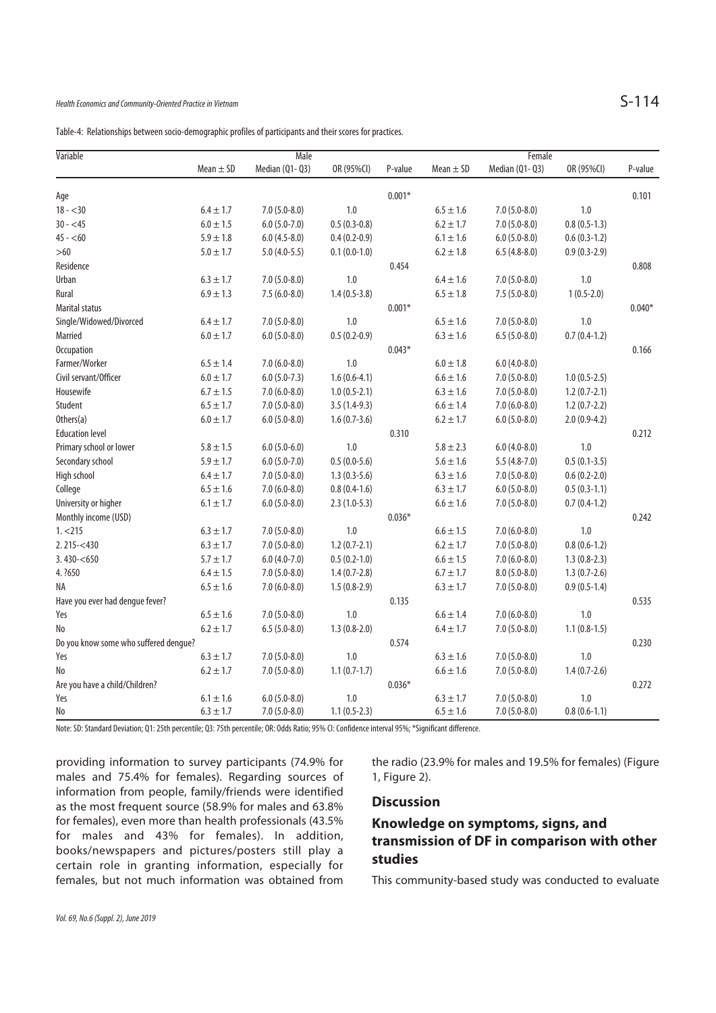Table-4: Relationships between socio-demographic profiles of participants and their scores for practices.

| Variable                              | <b>Male</b>   |                  |                |          | Female        |                  |                |          |  |
|---------------------------------------|---------------|------------------|----------------|----------|---------------|------------------|----------------|----------|--|
|                                       | Mean $\pm$ SD | Median (Q1-Q3)   | OR (95%CI)     | P-value  | Mean $\pm$ SD | Median (Q1- Q3)  | OR (95%CI)     | P-value  |  |
| Age                                   |               |                  |                | $0.001*$ |               |                  |                | 0.101    |  |
| $18 - 30$                             | $6.4 \pm 1.7$ | $7.0(5.0-8.0)$   | 1.0            |          | $6.5 \pm 1.6$ | $7.0(5.0-8.0)$   | 1.0            |          |  |
| $30 - 45$                             | $6.0 \pm 1.5$ | $6.0(5.0-7.0)$   | $0.5(0.3-0.8)$ |          | $6.2 \pm 1.7$ | $7.0(5.0-8.0)$   | $0.8(0.5-1.3)$ |          |  |
| $45 - 60$                             | $5.9 \pm 1.8$ | $6.0(4.5-8.0)$   | $0.4(0.2-0.9)$ |          | $6.1 \pm 1.6$ | $6.0(5.0-8.0)$   | $0.6(0.3-1.2)$ |          |  |
| $>60$                                 | $5.0 \pm 1.7$ | $5.0(4.0-5.5)$   | $0.1(0.0-1.0)$ |          | $6.2 \pm 1.8$ | $6.5(4.8-8.0)$   | $0.9(0.3-2.9)$ |          |  |
| Residence                             |               |                  |                | 0.454    |               |                  |                | 0.808    |  |
| Urban                                 | $6.3 \pm 1.7$ | $7.0(5.0-8.0)$   | 1.0            |          | $6.4 \pm 1.6$ | $7.0(5.0-8.0)$   | 1.0            |          |  |
| Rural                                 | $6.9 \pm 1.3$ | $7.5(6.0-8.0)$   | $1.4(0.5-3.8)$ |          | $6.5 \pm 1.8$ | $7.5(5.0-8.0)$   | $1(0.5-2.0)$   |          |  |
| <b>Marital status</b>                 |               |                  |                | $0.001*$ |               |                  |                | $0.040*$ |  |
| Single/Widowed/Divorced               | $6.4 \pm 1.7$ | $7.0(5.0-8.0)$   | 1.0            |          | $6.5\pm1.6$   | $7.0(5.0-8.0)$   | $1.0\,$        |          |  |
| Married                               | $6.0 \pm 1.7$ | $6.0(5.0 - 8.0)$ | $0.5(0.2-0.9)$ |          | $6.3 \pm 1.6$ | $6.5(5.0-8.0)$   | $0.7(0.4-1.2)$ |          |  |
| <b>Occupation</b>                     |               |                  |                | $0.043*$ |               |                  |                | 0.166    |  |
| Farmer/Worker                         | $6.5 \pm 1.4$ | $7.0(6.0-8.0)$   | 1.0            |          | $6.0 \pm 1.8$ | $6.0(4.0-8.0)$   |                |          |  |
| Civil servant/Officer                 | $6.0 \pm 1.7$ | $6.0(5.0-7.3)$   | $1.6(0.6-4.1)$ |          | $6.6 \pm 1.6$ | $7.0(5.0-8.0)$   | $1.0(0.5-2.5)$ |          |  |
| Housewife                             | $6.7 \pm 1.5$ | $7.0(6.0-8.0)$   | $1.0(0.5-2.1)$ |          | $6.3 \pm 1.6$ | $7.0(5.0-8.0)$   | $1.2(0.7-2.1)$ |          |  |
| Student                               | $6.5 \pm 1.7$ | $7.0(5.0-8.0)$   | $3.5(1.4-9.3)$ |          | $6.6 \pm 1.4$ | $7.0(6.0-8.0)$   | $1.2(0.7-2.2)$ |          |  |
| Others(a)                             | $6.0 \pm 1.7$ | $6.0(5.0-8.0)$   | $1.6(0.7-3.6)$ |          | $6.2 \pm 1.7$ | $6.0(5.0-8.0)$   | $2.0(0.9-4.2)$ |          |  |
| <b>Education level</b>                |               |                  |                | 0.310    |               |                  |                | 0.212    |  |
| Primary school or lower               | $5.8 \pm 1.5$ | $6.0(5.0-6.0)$   | 1.0            |          | $5.8 \pm 2.3$ | $6.0(4.0-8.0)$   | 1.0            |          |  |
| Secondary school                      | $5.9 \pm 1.7$ | $6.0(5.0-7.0)$   | $0.5(0.0-5.6)$ |          | $5.6 \pm 1.6$ | $5.5(4.8-7.0)$   | $0.5(0.1-3.5)$ |          |  |
| High school                           | $6.4 \pm 1.7$ | $7.0(5.0-8.0)$   | $1.3(0.3-5.6)$ |          | $6.3 \pm 1.6$ | $7.0(5.0-8.0)$   | $0.6(0.2-2.0)$ |          |  |
| College                               | $6.5 \pm 1.6$ | $7.0(6.0-8.0)$   | $0.8(0.4-1.6)$ |          | $6.3 \pm 1.7$ | $6.0(5.0-8.0)$   | $0.5(0.3-1.1)$ |          |  |
| University or higher                  | $6.1 \pm 1.7$ | $6.0(5.0-8.0)$   | $2.3(1.0-5.3)$ |          | $6.6 \pm 1.6$ | $7.0(5.0-8.0)$   | $0.7(0.4-1.2)$ |          |  |
| Monthly income (USD)                  |               |                  |                | $0.036*$ |               |                  |                | 0.242    |  |
| 1. < 215                              | $6.3 \pm 1.7$ | $7.0(5.0-8.0)$   | $1.0\,$        |          | $6.6 \pm 1.5$ | $7.0(6.0-8.0)$   | $1.0\,$        |          |  |
| $2.215 - 430$                         | $6.3 \pm 1.7$ | $7.0(5.0-8.0)$   | $1.2(0.7-2.1)$ |          | $6.2 \pm 1.7$ | $7.0(5.0-8.0)$   | $0.8(0.6-1.2)$ |          |  |
| 3.430 < 650                           | $5.7 \pm 1.7$ | $6.0(4.0-7.0)$   | $0.5(0.2-1.0)$ |          | $6.6 \pm 1.5$ | $7.0(6.0-8.0)$   | $1.3(0.8-2.3)$ |          |  |
| 4. ?650                               | $6.4 \pm 1.5$ | $7.0(5.0-8.0)$   | $1.4(0.7-2.8)$ |          | $6.7 \pm 1.7$ | $8.0(5.0 - 8.0)$ | $1.3(0.7-2.6)$ |          |  |
| ΝA                                    | $6.5 \pm 1.6$ | $7.0(6.0-8.0)$   | $1.5(0.8-2.9)$ |          | $6.3 \pm 1.7$ | $7.0(5.0-8.0)$   | $0.9(0.5-1.4)$ |          |  |
| Have you ever had dengue fever?       |               |                  |                | 0.135    |               |                  |                | 0.535    |  |
| Yes                                   | $6.5 \pm 1.6$ | $7.0(5.0-8.0)$   | 1.0            |          | $6.6 \pm 1.4$ | $7.0(6.0-8.0)$   | 1.0            |          |  |
| No                                    | $6.2 \pm 1.7$ | $6.5(5.0-8.0)$   | $1.3(0.8-2.0)$ |          | $6.4 \pm 1.7$ | $7.0(5.0-8.0)$   | $1.1(0.8-1.5)$ |          |  |
| Do you know some who suffered dengue? |               |                  |                | 0.574    |               |                  |                | 0.230    |  |
| Yes                                   | $6.3 \pm 1.7$ | $7.0(5.0-8.0)$   | 1.0            |          | $6.3 \pm 1.6$ | $7.0(5.0-8.0)$   | 1.0            |          |  |
| No                                    | $6.2 \pm 1.7$ | $7.0(5.0-8.0)$   | $1.1(0.7-1.7)$ |          | $6.6 \pm 1.6$ | $7.0(5.0-8.0)$   | $1.4(0.7-2.6)$ |          |  |
| Are you have a child/Children?        |               |                  |                | $0.036*$ |               |                  |                | 0.272    |  |
| Yes                                   | $6.1 \pm 1.6$ | $6.0(5.0-8.0)$   | 1.0            |          | $6.3 \pm 1.7$ | $7.0(5.0-8.0)$   | 1.0            |          |  |
| No                                    | $6.3 \pm 1.7$ | $7.0(5.0-8.0)$   | $1.1(0.5-2.3)$ |          | $6.5\pm1.6$   | $7.0(5.0-8.0)$   | $0.8(0.6-1.1)$ |          |  |

Note: SD: Standard Deviation; Q1: 25th percentile; Q3: 75th percentile; OR: Odds Ratio; 95% CI: Confidence interval 95%; \*Significant difference.

providing information to survey participants (74.9% for males and 75.4% for females). Regarding sources of information from people, family/friends were identified as the most frequent source (58.9% for males and 63.8% for females), even more than health professionals (43.5% for males and 43% for females). In addition, books/newspapers and pictures/posters still play a certain role in granting information, especially for females, but not much information was obtained from

the radio (23.9% for males and 19.5% for females) (Figure 1, Figure 2).

### **Discussion**

## **Knowledge on symptoms, signs, and transmission of DF in comparison with other studies**

This community-based study was conducted to evaluate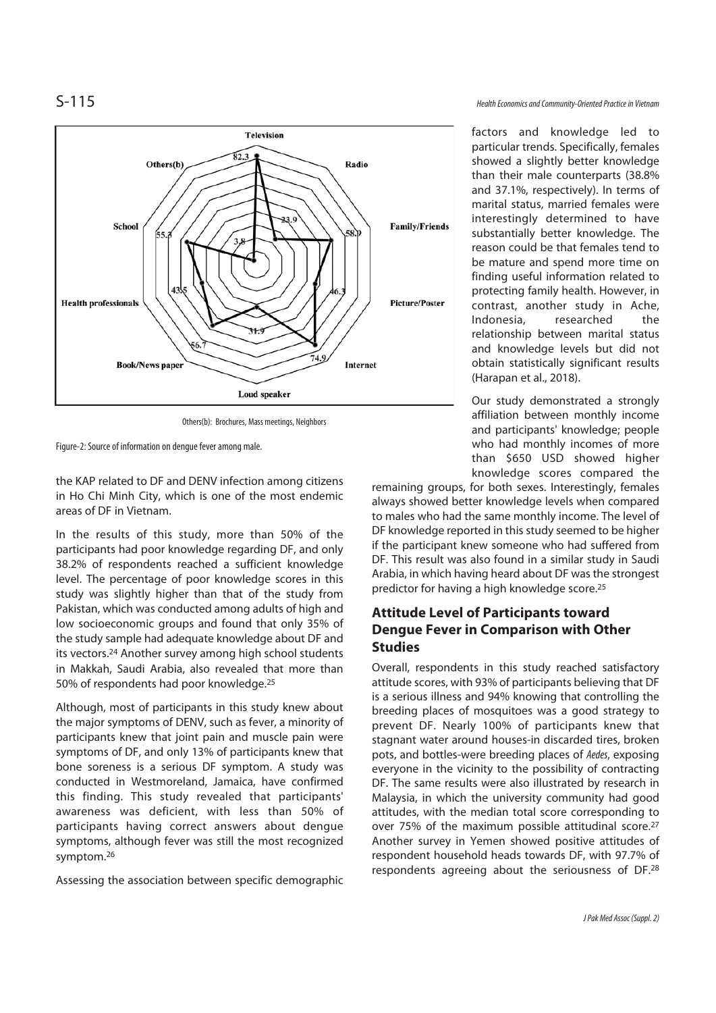

Others(b): Brochures, Mass meetings, Neighbors

Figure-2: Source of information on dengue fever among male.

the KAP related to DF and DENV infection among citizens in Ho Chi Minh City, which is one of the most endemic areas of DF in Vietnam.

In the results of this study, more than 50% of the participants had poor knowledge regarding DF, and only 38.2% of respondents reached a sufficient knowledge level. The percentage of poor knowledge scores in this study was slightly higher than that of the study from Pakistan, which was conducted among adults of high and low socioeconomic groups and found that only 35% of the study sample had adequate knowledge about DF and its vectors.24 Another survey among high school students in Makkah, Saudi Arabia, also revealed that more than 50% of respondents had poor knowledge.25

Although, most of participants in this study knew about the major symptoms of DENV, such as fever, a minority of participants knew that joint pain and muscle pain were symptoms of DF, and only 13% of participants knew that bone soreness is a serious DF symptom. A study was conducted in Westmoreland, Jamaica, have confirmed this finding. This study revealed that participants' awareness was deficient, with less than 50% of participants having correct answers about dengue symptoms, although fever was still the most recognized symptom.26

Assessing the association between specific demographic

factors and knowledge led to particular trends. Specifically, females showed a slightly better knowledge than their male counterparts (38.8% and 37.1%, respectively). In terms of marital status, married females were interestingly determined to have substantially better knowledge. The reason could be that females tend to be mature and spend more time on finding useful information related to protecting family health. However, in contrast, another study in Ache, Indonesia, researched the relationship between marital status and knowledge levels but did not obtain statistically significant results (Harapan et al., 2018).

Our study demonstrated a strongly affiliation between monthly income and participants' knowledge; people who had monthly incomes of more than \$650 USD showed higher knowledge scores compared the

remaining groups, for both sexes. Interestingly, females always showed better knowledge levels when compared to males who had the same monthly income. The level of DF knowledge reported in this study seemed to be higher if the participant knew someone who had suffered from DF. This result was also found in a similar study in Saudi Arabia, in which having heard about DF was the strongest predictor for having a high knowledge score.25

## **Attitude Level of Participants toward Dengue Fever in Comparison with Other Studies**

Overall, respondents in this study reached satisfactory attitude scores, with 93% of participants believing that DF is a serious illness and 94% knowing that controlling the breeding places of mosquitoes was a good strategy to prevent DF. Nearly 100% of participants knew that stagnant water around houses-in discarded tires, broken pots, and bottles-were breeding places of Aedes, exposing everyone in the vicinity to the possibility of contracting DF. The same results were also illustrated by research in Malaysia, in which the university community had good attitudes, with the median total score corresponding to over 75% of the maximum possible attitudinal score.27 Another survey in Yemen showed positive attitudes of respondent household heads towards DF, with 97.7% of respondents agreeing about the seriousness of DF.28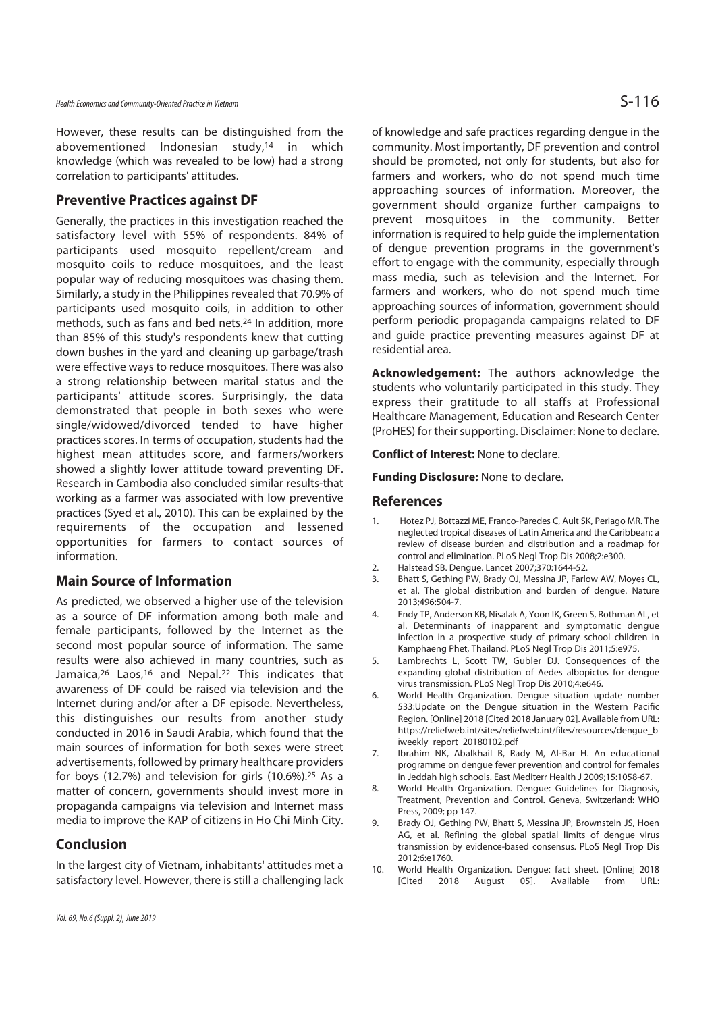However, these results can be distinguished from the abovementioned Indonesian study,14 in which knowledge (which was revealed to be low) had a strong correlation to participants' attitudes.

### **Preventive Practices against DF**

Generally, the practices in this investigation reached the satisfactory level with 55% of respondents. 84% of participants used mosquito repellent/cream and mosquito coils to reduce mosquitoes, and the least popular way of reducing mosquitoes was chasing them. Similarly, a study in the Philippines revealed that 70.9% of participants used mosquito coils, in addition to other methods, such as fans and bed nets.24 In addition, more than 85% of this study's respondents knew that cutting down bushes in the yard and cleaning up garbage/trash were effective ways to reduce mosquitoes. There was also a strong relationship between marital status and the participants' attitude scores. Surprisingly, the data demonstrated that people in both sexes who were single/widowed/divorced tended to have higher practices scores. In terms of occupation, students had the highest mean attitudes score, and farmers/workers showed a slightly lower attitude toward preventing DF. Research in Cambodia also concluded similar results-that working as a farmer was associated with low preventive practices (Syed et al., 2010). This can be explained by the requirements of the occupation and lessened opportunities for farmers to contact sources of information.

### **Main Source of Information**

As predicted, we observed a higher use of the television as a source of DF information among both male and female participants, followed by the Internet as the second most popular source of information. The same results were also achieved in many countries, such as Jamaica,<sup>26</sup> Laos,<sup>16</sup> and Nepal.<sup>22</sup> This indicates that awareness of DF could be raised via television and the Internet during and/or after a DF episode. Nevertheless, this distinguishes our results from another study conducted in 2016 in Saudi Arabia, which found that the main sources of information for both sexes were street advertisements, followed by primary healthcare providers for boys (12.7%) and television for girls (10.6%).25 As a matter of concern, governments should invest more in propaganda campaigns via television and Internet mass media to improve the KAP of citizens in Ho Chi Minh City.

### **Conclusion**

In the largest city of Vietnam, inhabitants' attitudes met a satisfactory level. However, there is still a challenging lack of knowledge and safe practices regarding dengue in the community. Most importantly, DF prevention and control should be promoted, not only for students, but also for farmers and workers, who do not spend much time approaching sources of information. Moreover, the government should organize further campaigns to prevent mosquitoes in the community. Better information is required to help guide the implementation of dengue prevention programs in the government's effort to engage with the community, especially through mass media, such as television and the Internet. For farmers and workers, who do not spend much time approaching sources of information, government should perform periodic propaganda campaigns related to DF and guide practice preventing measures against DF at residential area.

**Acknowledgement:** The authors acknowledge the students who voluntarily participated in this study. They express their gratitude to all staffs at Professional Healthcare Management, Education and Research Center (ProHES) for their supporting. Disclaimer: None to declare.

**Conflict of Interest:** None to declare.

**Funding Disclosure:** None to declare.

### **References**

- 1. Hotez PJ, Bottazzi ME, Franco-Paredes C, Ault SK, Periago MR. The neglected tropical diseases of Latin America and the Caribbean: a review of disease burden and distribution and a roadmap for control and elimination. PLoS Negl Trop Dis 2008;2:e300.
- 2. Halstead SB. Dengue. Lancet 2007;370:1644-52.
- 3. Bhatt S, Gething PW, Brady OJ, Messina JP, Farlow AW, Moyes CL, et al. The global distribution and burden of dengue. Nature 2013;496:504-7.
- 4. Endy TP, Anderson KB, Nisalak A, Yoon IK, Green S, Rothman AL, et al. Determinants of inapparent and symptomatic dengue infection in a prospective study of primary school children in Kamphaeng Phet, Thailand. PLoS Negl Trop Dis 2011;5:e975.
- 5. Lambrechts L, Scott TW, Gubler DJ. Consequences of the expanding global distribution of Aedes albopictus for dengue virus transmission. PLoS Negl Trop Dis 2010;4:e646.
- 6. World Health Organization. Dengue situation update number 533:Update on the Dengue situation in the Western Pacific Region. [Online] 2018 [Cited 2018 January 02]. Available from URL: https://reliefweb.int/sites/reliefweb.int/files/resources/dengue\_b iweekly\_report\_20180102.pdf
- 7. Ibrahim NK, Abalkhail B, Rady M, Al-Bar H. An educational programme on dengue fever prevention and control for females in Jeddah high schools. East Mediterr Health J 2009;15:1058-67.
- 8. World Health Organization. Dengue: Guidelines for Diagnosis, Treatment, Prevention and Control. Geneva, Switzerland: WHO Press, 2009; pp 147.
- 9. Brady OJ, Gething PW, Bhatt S, Messina JP, Brownstein JS, Hoen AG, et al. Refining the global spatial limits of dengue virus transmission by evidence-based consensus. PLoS Negl Trop Dis 2012;6:e1760.
- 10. World Health Organization. Dengue: fact sheet. [Online] 2018 [Cited 2018 August 05]. Available from URL: